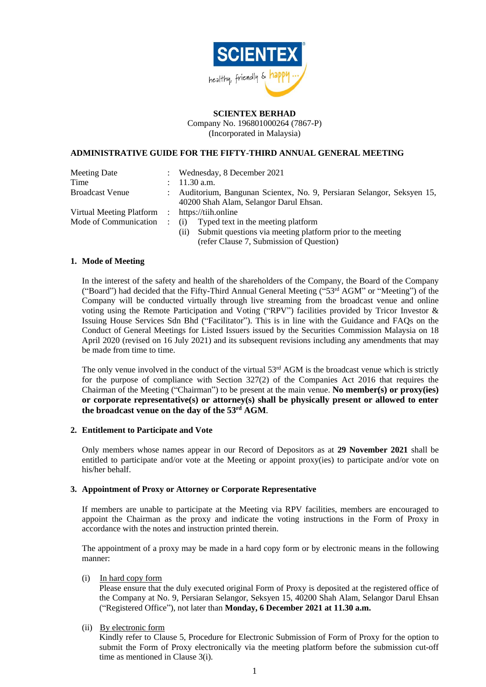

## **SCIENTEX BERHAD**

Company No. 196801000264 (7867-P) (Incorporated in Malaysia)

# **ADMINISTRATIVE GUIDE FOR THE FIFTY-THIRD ANNUAL GENERAL MEETING**

| <b>Meeting Date</b>      | $\mathbb{R}^{\mathbb{Z}}$ | Wednesday, 8 December 2021                                              |
|--------------------------|---------------------------|-------------------------------------------------------------------------|
| Time                     |                           | $11.30$ a.m.                                                            |
| <b>Broadcast Venue</b>   |                           | : Auditorium, Bangunan Scientex, No. 9, Persiaran Selangor, Seksyen 15, |
|                          |                           | 40200 Shah Alam, Selangor Darul Ehsan.                                  |
| Virtual Meeting Platform | $\sim 100$                | https://tiih.online                                                     |
| Mode of Communication    |                           | Typed text in the meeting platform<br>(i)                               |
|                          |                           | Submit questions via meeting platform prior to the meeting<br>(i)       |
|                          |                           | (refer Clause 7, Submission of Question)                                |

### **1. Mode of Meeting**

In the interest of the safety and health of the shareholders of the Company, the Board of the Company ("Board") had decided that the Fifty-Third Annual General Meeting ("53<sup>rd</sup> AGM" or "Meeting") of the Company will be conducted virtually through live streaming from the broadcast venue and online voting using the Remote Participation and Voting ("RPV") facilities provided by Tricor Investor & Issuing House Services Sdn Bhd ("Facilitator"). This is in line with the Guidance and FAQs on the Conduct of General Meetings for Listed Issuers issued by the Securities Commission Malaysia on 18 April 2020 (revised on 16 July 2021) and its subsequent revisions including any amendments that may be made from time to time.

The only venue involved in the conduct of the virtual 53<sup>rd</sup> AGM is the broadcast venue which is strictly for the purpose of compliance with Section 327(2) of the Companies Act 2016 that requires the Chairman of the Meeting ("Chairman") to be present at the main venue. **No member(s) or proxy(ies) or corporate representative(s) or attorney(s) shall be physically present or allowed to enter the broadcast venue on the day of the 53rd AGM**.

### **2. Entitlement to Participate and Vote**

Only members whose names appear in our Record of Depositors as at **29 November 2021** shall be entitled to participate and/or vote at the Meeting or appoint proxy(ies) to participate and/or vote on his/her behalf.

### **3. Appointment of Proxy or Attorney or Corporate Representative**

If members are unable to participate at the Meeting via RPV facilities, members are encouraged to appoint the Chairman as the proxy and indicate the voting instructions in the Form of Proxy in accordance with the notes and instruction printed therein.

The appointment of a proxy may be made in a hard copy form or by electronic means in the following manner:

### (i) In hard copy form

Please ensure that the duly executed original Form of Proxy is deposited at the registered office of the Company at No. 9, Persiaran Selangor, Seksyen 15, 40200 Shah Alam, Selangor Darul Ehsan ("Registered Office"), not later than **Monday, 6 December 2021 at 11.30 a.m.** 

# (ii) By electronic form

Kindly refer to Clause 5, Procedure for Electronic Submission of Form of Proxy for the option to submit the Form of Proxy electronically via the meeting platform before the submission cut-off time as mentioned in Clause 3(i).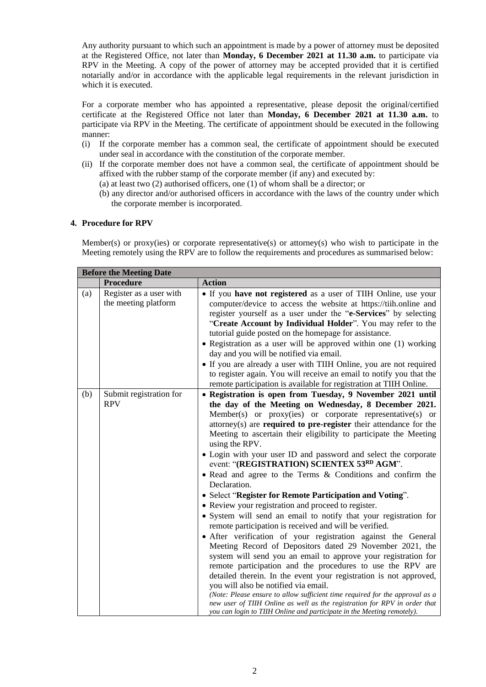Any authority pursuant to which such an appointment is made by a power of attorney must be deposited at the Registered Office, not later than **Monday, 6 December 2021 at 11.30 a.m.** to participate via RPV in the Meeting. A copy of the power of attorney may be accepted provided that it is certified notarially and/or in accordance with the applicable legal requirements in the relevant jurisdiction in which it is executed.

For a corporate member who has appointed a representative, please deposit the original/certified certificate at the Registered Office not later than **Monday, 6 December 2021 at 11.30 a.m.** to participate via RPV in the Meeting. The certificate of appointment should be executed in the following manner:

- (i) If the corporate member has a common seal, the certificate of appointment should be executed under seal in accordance with the constitution of the corporate member.
- (ii) If the corporate member does not have a common seal, the certificate of appointment should be affixed with the rubber stamp of the corporate member (if any) and executed by:
	- (a) at least two (2) authorised officers, one (1) of whom shall be a director; or
	- (b) any director and/or authorised officers in accordance with the laws of the country under which the corporate member is incorporated.

## **4. Procedure for RPV**

Member(s) or proxy(ies) or corporate representative(s) or attorney(s) who wish to participate in the Meeting remotely using the RPV are to follow the requirements and procedures as summarised below:

| <b>Before the Meeting Date</b> |                                                 |                                                                                                                                                                                                                                                                                                                                                                                                                                                                                                                                                                                                                                                                                                                                                                                                                                                                                                                                                                                                                                                                                                                                                                                                                                                                                                                                                                                                                      |  |
|--------------------------------|-------------------------------------------------|----------------------------------------------------------------------------------------------------------------------------------------------------------------------------------------------------------------------------------------------------------------------------------------------------------------------------------------------------------------------------------------------------------------------------------------------------------------------------------------------------------------------------------------------------------------------------------------------------------------------------------------------------------------------------------------------------------------------------------------------------------------------------------------------------------------------------------------------------------------------------------------------------------------------------------------------------------------------------------------------------------------------------------------------------------------------------------------------------------------------------------------------------------------------------------------------------------------------------------------------------------------------------------------------------------------------------------------------------------------------------------------------------------------------|--|
|                                | Procedure                                       | <b>Action</b>                                                                                                                                                                                                                                                                                                                                                                                                                                                                                                                                                                                                                                                                                                                                                                                                                                                                                                                                                                                                                                                                                                                                                                                                                                                                                                                                                                                                        |  |
| (a)                            | Register as a user with<br>the meeting platform | • If you have not registered as a user of TIIH Online, use your<br>computer/device to access the website at https://tiih.online and<br>register yourself as a user under the "e-Services" by selecting<br>"Create Account by Individual Holder". You may refer to the<br>tutorial guide posted on the homepage for assistance.<br>• Registration as a user will be approved within one (1) working<br>day and you will be notified via email.<br>• If you are already a user with TIIH Online, you are not required<br>to register again. You will receive an email to notify you that the<br>remote participation is available for registration at TIIH Online.                                                                                                                                                                                                                                                                                                                                                                                                                                                                                                                                                                                                                                                                                                                                                     |  |
| (b)                            | Submit registration for<br><b>RPV</b>           | • Registration is open from Tuesday, 9 November 2021 until<br>the day of the Meeting on Wednesday, 8 December 2021.<br>Member(s) or proxy(ies) or corporate representative(s) or<br>attorney(s) are <b>required to pre-register</b> their attendance for the<br>Meeting to ascertain their eligibility to participate the Meeting<br>using the RPV.<br>• Login with your user ID and password and select the corporate<br>event: "(REGISTRATION) SCIENTEX 53RD AGM".<br>• Read and agree to the Terms & Conditions and confirm the<br>Declaration.<br>• Select "Register for Remote Participation and Voting".<br>• Review your registration and proceed to register.<br>• System will send an email to notify that your registration for<br>remote participation is received and will be verified.<br>• After verification of your registration against the General<br>Meeting Record of Depositors dated 29 November 2021, the<br>system will send you an email to approve your registration for<br>remote participation and the procedures to use the RPV are<br>detailed therein. In the event your registration is not approved,<br>you will also be notified via email.<br>(Note: Please ensure to allow sufficient time required for the approval as a<br>new user of TIIH Online as well as the registration for RPV in order that<br>you can login to TIIH Online and participate in the Meeting remotely). |  |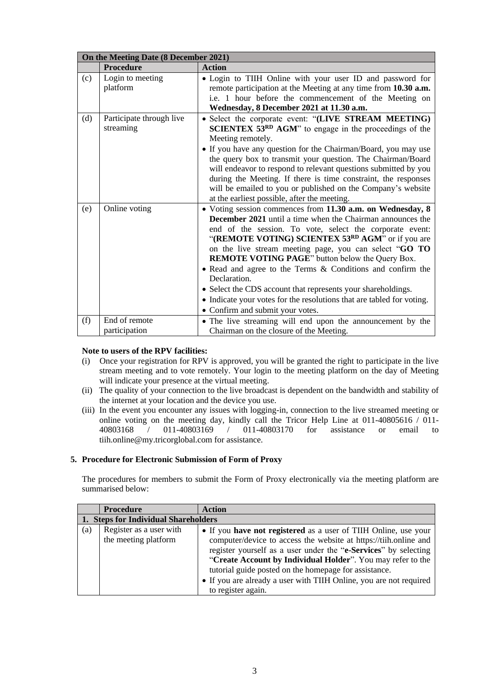| On the Meeting Date (8 December 2021) |                                       |                                                                                                                                                                                                                                                                                                                                                                                                                                                                                                                                                                                                                                  |
|---------------------------------------|---------------------------------------|----------------------------------------------------------------------------------------------------------------------------------------------------------------------------------------------------------------------------------------------------------------------------------------------------------------------------------------------------------------------------------------------------------------------------------------------------------------------------------------------------------------------------------------------------------------------------------------------------------------------------------|
|                                       | <b>Procedure</b>                      | <b>Action</b>                                                                                                                                                                                                                                                                                                                                                                                                                                                                                                                                                                                                                    |
| (c)                                   | Login to meeting<br>platform          | • Login to TIIH Online with your user ID and password for<br>remote participation at the Meeting at any time from 10.30 a.m.<br>i.e. 1 hour before the commencement of the Meeting on<br>Wednesday, 8 December 2021 at 11.30 a.m.                                                                                                                                                                                                                                                                                                                                                                                                |
| (d)                                   | Participate through live<br>streaming | • Select the corporate event: "(LIVE STREAM MEETING)<br><b>SCIENTEX 53RD AGM</b> " to engage in the proceedings of the<br>Meeting remotely.<br>• If you have any question for the Chairman/Board, you may use<br>the query box to transmit your question. The Chairman/Board<br>will endeavor to respond to relevant questions submitted by you<br>during the Meeting. If there is time constraint, the responses<br>will be emailed to you or published on the Company's website<br>at the earliest possible, after the meeting.                                                                                                |
| (e)                                   | Online voting                         | • Voting session commences from 11.30 a.m. on Wednesday, 8<br><b>December 2021</b> until a time when the Chairman announces the<br>end of the session. To vote, select the corporate event:<br>"(REMOTE VOTING) SCIENTEX 53RD AGM" or if you are<br>on the live stream meeting page, you can select "GO TO<br><b>REMOTE VOTING PAGE</b> " button below the Query Box.<br>• Read and agree to the Terms & Conditions and confirm the<br>Declaration.<br>• Select the CDS account that represents your shareholdings.<br>• Indicate your votes for the resolutions that are tabled for voting.<br>• Confirm and submit your votes. |
| (f)                                   | End of remote<br>participation        | • The live streaming will end upon the announcement by the<br>Chairman on the closure of the Meeting.                                                                                                                                                                                                                                                                                                                                                                                                                                                                                                                            |

# **Note to users of the RPV facilities:**

- (i) Once your registration for RPV is approved, you will be granted the right to participate in the live stream meeting and to vote remotely. Your login to the meeting platform on the day of Meeting will indicate your presence at the virtual meeting.
- (ii) The quality of your connection to the live broadcast is dependent on the bandwidth and stability of the internet at your location and the device you use.
- (iii) In the event you encounter any issues with logging-in, connection to the live streamed meeting or online voting on the meeting day, kindly call the Tricor Help Line at 011-40805616 / 011-40803168 / 011-40803169 / 011-40803170 for assistance or email to 40803168 / 011-40803169 / 011-40803170 for assistance or email to tiih.online@my.tricorglobal.com for assistance.

## **5. Procedure for Electronic Submission of Form of Proxy**

The procedures for members to submit the Form of Proxy electronically via the meeting platform are summarised below:

|     | <b>Procedure</b>                                | <b>Action</b>                                                                                                                                                                                                                                                                                                                                                                                                              |  |
|-----|-------------------------------------------------|----------------------------------------------------------------------------------------------------------------------------------------------------------------------------------------------------------------------------------------------------------------------------------------------------------------------------------------------------------------------------------------------------------------------------|--|
|     | 1. Steps for Individual Shareholders            |                                                                                                                                                                                                                                                                                                                                                                                                                            |  |
| (a) | Register as a user with<br>the meeting platform | • If you have not registered as a user of TIIH Online, use your<br>computer/device to access the website at https://tiih.online and<br>register yourself as a user under the "e-Services" by selecting<br>"Create Account by Individual Holder". You may refer to the<br>tutorial guide posted on the homepage for assistance.<br>• If you are already a user with TIIH Online, you are not required<br>to register again. |  |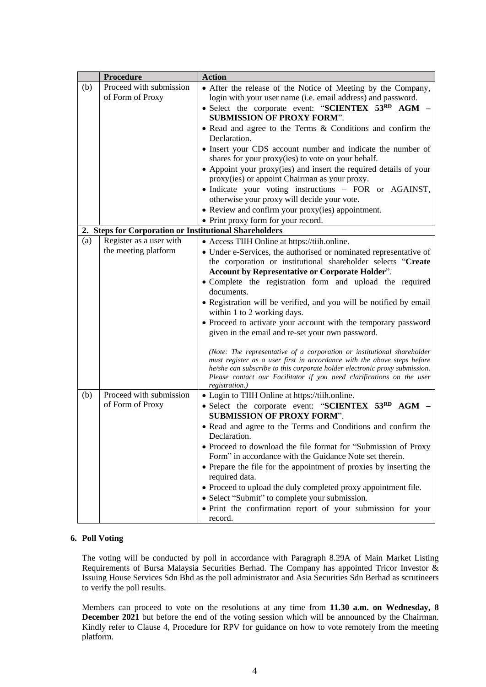|     | <b>Procedure</b>                                       | <b>Action</b>                                                                                                                                                                                                                                                                                                               |
|-----|--------------------------------------------------------|-----------------------------------------------------------------------------------------------------------------------------------------------------------------------------------------------------------------------------------------------------------------------------------------------------------------------------|
| (b) | Proceed with submission<br>of Form of Proxy            | • After the release of the Notice of Meeting by the Company,<br>login with your user name (i.e. email address) and password.                                                                                                                                                                                                |
|     |                                                        | • Select the corporate event: "SCIENTEX 53RD AGM -<br><b>SUBMISSION OF PROXY FORM".</b>                                                                                                                                                                                                                                     |
|     |                                                        | • Read and agree to the Terms & Conditions and confirm the<br>Declaration.                                                                                                                                                                                                                                                  |
|     |                                                        | • Insert your CDS account number and indicate the number of<br>shares for your proxy(ies) to vote on your behalf.                                                                                                                                                                                                           |
|     |                                                        | • Appoint your proxy(ies) and insert the required details of your<br>proxy(ies) or appoint Chairman as your proxy.                                                                                                                                                                                                          |
|     |                                                        | · Indicate your voting instructions - FOR or AGAINST,<br>otherwise your proxy will decide your vote.                                                                                                                                                                                                                        |
|     |                                                        | • Review and confirm your proxy(ies) appointment.                                                                                                                                                                                                                                                                           |
|     |                                                        | • Print proxy form for your record.                                                                                                                                                                                                                                                                                         |
|     | 2. Steps for Corporation or Institutional Shareholders |                                                                                                                                                                                                                                                                                                                             |
| (a) | Register as a user with                                | • Access TIIH Online at https://tiih.online.                                                                                                                                                                                                                                                                                |
|     | the meeting platform                                   | • Under e-Services, the authorised or nominated representative of                                                                                                                                                                                                                                                           |
|     |                                                        | the corporation or institutional shareholder selects "Create                                                                                                                                                                                                                                                                |
|     |                                                        | <b>Account by Representative or Corporate Holder".</b><br>• Complete the registration form and upload the required                                                                                                                                                                                                          |
|     |                                                        | documents.                                                                                                                                                                                                                                                                                                                  |
|     |                                                        | • Registration will be verified, and you will be notified by email<br>within 1 to 2 working days.                                                                                                                                                                                                                           |
|     |                                                        | • Proceed to activate your account with the temporary password                                                                                                                                                                                                                                                              |
|     |                                                        | given in the email and re-set your own password.                                                                                                                                                                                                                                                                            |
|     |                                                        | (Note: The representative of a corporation or institutional shareholder<br>must register as a user first in accordance with the above steps before<br>he/she can subscribe to this corporate holder electronic proxy submission.<br>Please contact our Facilitator if you need clarifications on the user<br>registration.) |
| (b) | Proceed with submission                                | • Login to TIIH Online at https://tiih.online.                                                                                                                                                                                                                                                                              |
|     | of Form of Proxy                                       | • Select the corporate event: "SCIENTEX 53RD AGM -<br><b>SUBMISSION OF PROXY FORM".</b>                                                                                                                                                                                                                                     |
|     |                                                        | • Read and agree to the Terms and Conditions and confirm the                                                                                                                                                                                                                                                                |
|     |                                                        | Declaration.                                                                                                                                                                                                                                                                                                                |
|     |                                                        | • Proceed to download the file format for "Submission of Proxy<br>Form" in accordance with the Guidance Note set therein.                                                                                                                                                                                                   |
|     |                                                        | • Prepare the file for the appointment of proxies by inserting the                                                                                                                                                                                                                                                          |
|     |                                                        | required data.                                                                                                                                                                                                                                                                                                              |
|     |                                                        | • Proceed to upload the duly completed proxy appointment file.                                                                                                                                                                                                                                                              |
|     |                                                        | • Select "Submit" to complete your submission.                                                                                                                                                                                                                                                                              |
|     |                                                        | • Print the confirmation report of your submission for your<br>record.                                                                                                                                                                                                                                                      |

# **6. Poll Voting**

The voting will be conducted by poll in accordance with Paragraph 8.29A of Main Market Listing Requirements of Bursa Malaysia Securities Berhad. The Company has appointed Tricor Investor & Issuing House Services Sdn Bhd as the poll administrator and Asia Securities Sdn Berhad as scrutineers to verify the poll results.

Members can proceed to vote on the resolutions at any time from **11.30 a.m. on Wednesday, 8 December 2021** but before the end of the voting session which will be announced by the Chairman. Kindly refer to Clause 4, Procedure for RPV for guidance on how to vote remotely from the meeting platform.